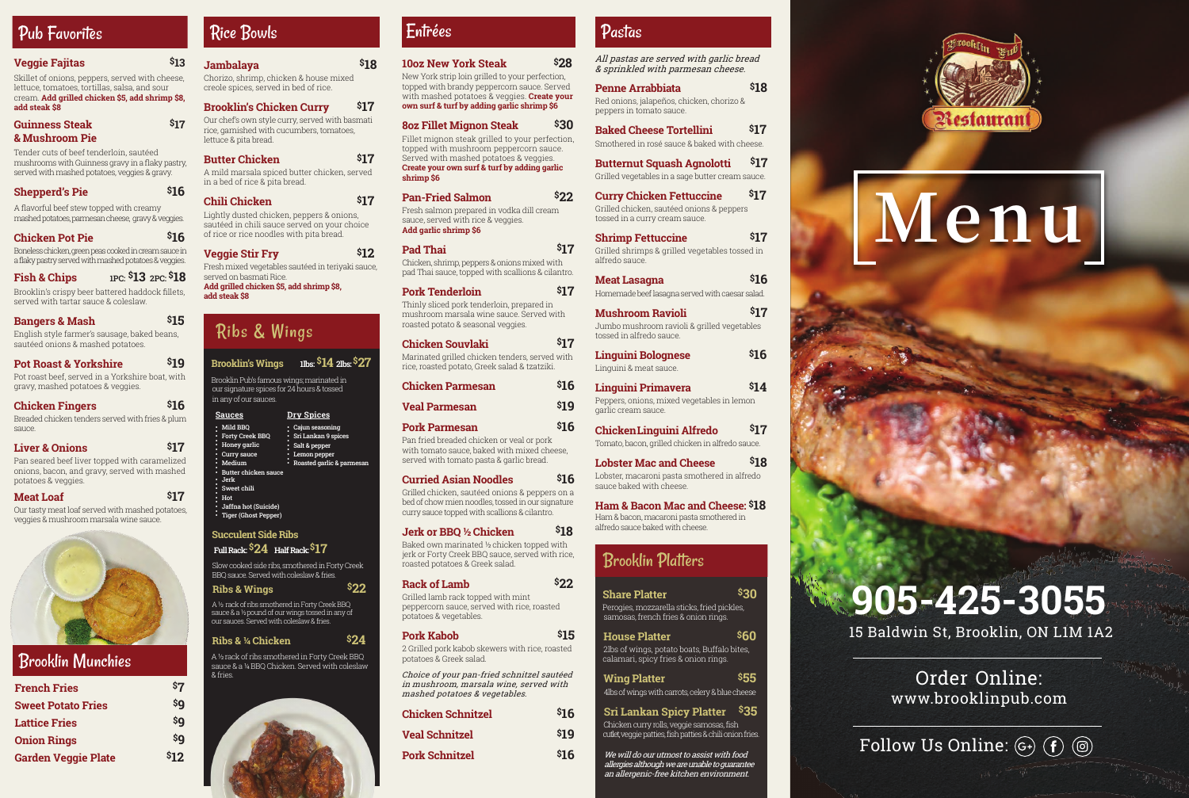#### **Veggie Fajitas \$13**

Skillet of onions, peppers, served with cheese lettuce, tomatoes, tortillas, salsa, and sour cream. **Add grilled chicken \$5, add shrimp \$8, add steak \$8**

#### **Guinness Steak \$17 & Mushroom Pie**

Tender cuts of beef tenderloin, sautéed mushrooms with Guinness gravy in a flaky pastry, served with mashed potatoes, veggies & gravy.

#### **Shepperd's Pie** \$16

A flavorful beef stew topped with creamy mashed potatoes, parmesan cheese, gravy & veggies.

#### **Chicken Pot Pie \$16**

Boneless chicken, green peas cooked in cream sauce in a flaky pastry served with mashed potatoes & veggies.

Brooklin's crispy beer battered haddock fillets, served with tartar sauce & coleslaw.

#### **Bangers & Mash 615**

h basmati rice, garnished with cucumbers, tomatoes, lettuce & pita bread.

#### **Butter Chicken** \$17

English style farmer's sausage, baked beans, sautéed onions & mashed potatoes.

#### **Pot Roast & Yorkshire \$19**

Pot roast beef, served in a Yorkshire boat, with gravy, mashed potatoes & veggies.

#### **Chicken Fingers \$16**

Breaded chicken tenders served with fries & plum sauce.

#### **Liver & Onions \$17**

Pan seared beef liver topped with caramelized onions, bacon, and gravy, served with mashed potatoes & veggies.

#### **Meat Loaf** \$17

Our tasty meat loaf served with mashed potatoes, veggies & mushroom marsala wine sauce.



#### Pad Thai **\$17** Chicken, shrimp, peppers & onions mixed with

| Jambalaya<br>₿, | Chorizo, shrimp, chicken & house mixed<br>creole spices, served in bed of rice. | \$18 |
|-----------------|---------------------------------------------------------------------------------|------|
|                 | <b>Brooklin's Chicken Curry</b>                                                 | \$17 |
|                 | Our chef's own style curry, served with basmati                                 |      |

A mild marsala spiced butter chicken, served in a bed of rice & pita bread.

#### **Chili Chicken \$17**

Lightly dusted chicken, peppers & onions, sautéed in chili sauce served on your choice of rice or rice noodles with pita bread.

### **Veggie Stir Fry S12**

Fresh mixed vegetables sautéed in teriyaki sauce, served on basmati Rice.

**Add grilled chicken \$5, add shrimp \$8, add steak \$8**

#### **10oz New York Steak \$28**

New York strip loin grilled to your perfection, topped with brandy peppercorn sauce. Served with mashed potatoes & veggies. **Create your own surf & turf by adding garlic shrimp \$6**

#### **8oz Fillet Mignon Steak \$30**

Fillet mignon steak grilled to your perfection, topped with mushroom peppercorn sauce. Served with mashed potatoes & veggies. **Create your own surf & turf by adding garlic shrimp \$6**

### **Pan-Fried Salmon \$22**

Fresh salmon prepared in vodka dill cream sauce, served with rice & veggies. **Add garlic shrimp \$6**

pad Thai sauce, topped with scallions & cilantro.

## Pork Tenderloin \$17

Thinly sliced pork tenderloin, prepared in mushroom marsala wine sauce. Served with roasted potato & seasonal veggies.

#### **Fish & Chips 1PC: \$13 2PC: \$18**

#### **Chicken Souvlaki \$17** Marinated grilled chicken tenders, served with rice, roasted potato, Greek salad & tzatziki. **Chicken Parmesan \$16**

| <b>Unicken Parmesan</b> | <b>PID</b> |
|-------------------------|------------|
| <b>Veal Parmesan</b>    | \$19       |
| <b>Pork Parmesan</b>    | \$16       |

## Pan fried breaded chicken or veal or pork

with tomato sauce, baked with mixed cheese, served with tomato pasta & garlic bread.

#### **Curried Asian Noodles \$16**

Grilled chicken, sautéed onions & peppers on a bed of chow mien noodles, tossed in our signature curry sauce topped with scallions & cilantro.

#### **Jerk or BBQ ½ Chicken \$18**

Baked own marinated ½ chicken topped with jerk or Forty Creek BBQ sauce, served with rice, roasted potatoes & Greek salad.

#### **Rack of Lamb \$22**

Grilled lamb rack topped with mint peppercorn sauce, served with rice, roasted potatoes & vegetables.

| <b>Pork Kabob</b>                               | \$15 |
|-------------------------------------------------|------|
| 2 Grilled pork kabob skewers with rice, roasted |      |
| potatoes & Greek salad.                         |      |

| <b>Chicken Schnitzel</b> | \$16 |
|--------------------------|------|
| <b>Veal Schnitzel</b>    | \$19 |
| <b>Pork Schnitzel</b>    | \$16 |

## **Penne Arrabbiata \$18**

Red onions, jalapeños, chicken, chorizo & peppers in tomato sauce.

**Baked Cheese Tortellini \$17** Smothered in rosé sauce & baked with cheese.

**Butternut Squash Agnolotti \$17** Grilled vegetables in a sage butter cream sauce.

| <b>Curry Chicken Fettuccine</b>           | \$17 |
|-------------------------------------------|------|
| Grilled chicken, sautéed onions & peppers |      |
| tossed in a curry cream sauce.            |      |

**Shrimp Fettuccine \$17** Grilled shrimps & grilled vegetables tossed in alfredo sauce.

| Meat Lasagna                                    | \$16 |
|-------------------------------------------------|------|
| Homemade beef lasagna served with caesar salad. |      |

| Mushroom Ravioli                            | \$17 |
|---------------------------------------------|------|
| Jumbo mushroom ravioli & grilled vegetables |      |
| tossed in alfredo sauce.                    |      |

| <b>Linguini Bolognese</b> | \$16 |
|---------------------------|------|
| Linguini & meat sauce.    |      |

| Linguini Primavera                         | \$14 |
|--------------------------------------------|------|
| Peppers, onions, mixed vegetables in lemon |      |
| garlic cream sauce.                        |      |

**ChickenLinguini Alfredo \$17** Tomato, bacon, grilled chicken in alfredo sauce.

| <b>Lobster Mac and Cheese</b>                | \$18 |
|----------------------------------------------|------|
| I obeter moograpi poeta emethered in alfrede |      |

Lobster, macaroni pasta smothered in alfredo sauce baked with cheese.

**Ham & Bacon Mac and Cheese: \$18** Ham & bacon, macaroni pasta smothered in alfredo sauce baked with cheese.

| <b>French Fries</b>        | \$7  |
|----------------------------|------|
| <b>Sweet Potato Fries</b>  | \$q  |
| <b>Lattice Fries</b>       | \$q  |
| <b>Onion Rings</b>         | \$q  |
| <b>Garden Veggie Plate</b> | \$12 |

## Brooklin Platters

Choice of your pan-fried schnitzel sautéed in mushroom, marsala wine, served with mashed potatoes & vegetables.

## Rice Bowls

All pastas are served with garlic bread & sprinkled with parmesan cheese.

# Pub Favorites

# Ribs & Wings

 **Brooklin's Wings1lbs: \$14 2lbs:\$27** Brooklin Pub's famous wings; marinated in

 our signature spices for 24 hours & tossed in any of our sauces.

 Slow cooked side ribs, smothered in Forty Creek BBQ sauce. Served with coleslaw & fries.

**Ribs & Wings \$22**

 A ½ rack of ribs smothered in Forty Creek BBQ sauce & a ½ pound of our wings tossed in any of our sauces. Served with coleslaw & fries.

#### **Ribs & ¼ Chicken \$24**

 A ½ rack of ribs smothered in Forty Creek BBQ sauce & a ¼ BBQ Chicken. Served with coleslaw & fries.



## Entrées Pastas

 **Succulent Side Ribs Full Rack: \$24 Half Rack: \$17**

| <u>Sauces</u>                                                                                                                                                                                                                                                | Dry Spices                                                                                           |  |
|--------------------------------------------------------------------------------------------------------------------------------------------------------------------------------------------------------------------------------------------------------------|------------------------------------------------------------------------------------------------------|--|
| Mild BBQ<br>ö<br><b>Forty Creek BBQ</b><br>۵<br>Honey garlic<br>۵<br>Curry sauce<br>۵<br>Medium<br>o<br>Butter chicken sauce<br>$\bullet$<br>Jerk<br>۰<br>Sweet chili<br>٥<br>Hot<br>α<br>п<br>Jaffna hot (Suicide)<br>α<br><b>Tiger (Ghost Pepper)</b><br>۵ | Cajun seasoning<br>Sri Lankan 9 spices<br>Salt & pepper<br>Lemon pepper<br>Roasted garlic & parmesan |  |

## Brooklin Munchies

| <b>Share Platter</b>                        | \$30 |
|---------------------------------------------|------|
| Perogies, mozzarella sticks, fried pickles, |      |

| Perogies, mozzarella sticks, fried pickles, |  |
|---------------------------------------------|--|
| samosas, french fries & onion rings.        |  |

| House Platter                                                                      | \$60 |
|------------------------------------------------------------------------------------|------|
| 2lbs of wings, potato boats, Buffalo bites,<br>salanaari anisy frisa 8 anisy ringa |      |

 calamari, spicy fries & onion rings. **Wing Platter \$55**

|                                                  | --- |
|--------------------------------------------------|-----|
| 4lbs of wings with carrots, celery & blue cheese |     |

| Sri Lankan Spicy Platter \$35            |  |
|------------------------------------------|--|
| Chielzon ourry rolle voggio comocon fich |  |

 Chicken curry rolls, veggie samosas, fish cutlet, veggie patties, fish patties & chili onion fries.

We will do our utmost to assist with food allergies although we are unable to guarantee an allergenic-free kitchen environment.





15 Baldwin St, Brooklin, ON L1M 1A2

**905-425-3055**

Order Online: www.brooklinpub.com

Follow Us Online:  $\mathbb{G}$   $\left( \mathbf{f} \right)$   $\circledcirc$